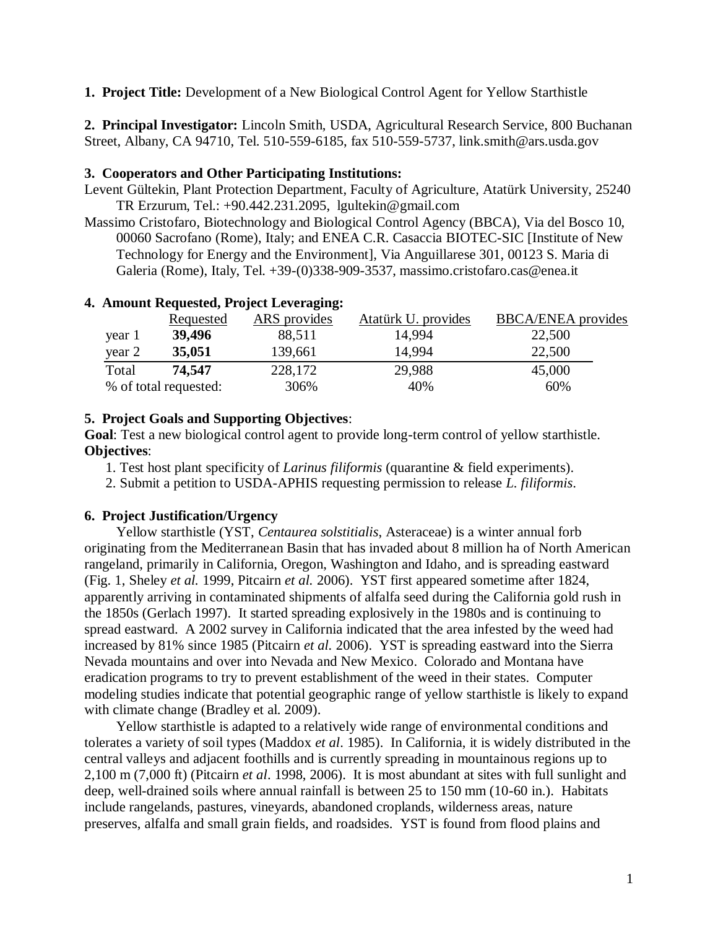**1. Project Title:** Development of a New Biological Control Agent for Yellow Starthistle

**2. Principal Investigator:** Lincoln Smith, USDA, Agricultural Research Service, 800 Buchanan Street, Albany, CA 94710, Tel. 510-559-6185, fax 510-559-5737, link.smith@ars.usda.gov

#### **3. Cooperators and Other Participating Institutions:**

- Levent Gültekin, Plant Protection Department, Faculty of Agriculture, Atatürk University, 25240 TR Erzurum, Tel.: +90.442.231.2095, lgultekin@gmail.com
- Massimo Cristofaro, Biotechnology and Biological Control Agency (BBCA), Via del Bosco 10, 00060 Sacrofano (Rome), Italy; and ENEA C.R. Casaccia BIOTEC-SIC [Institute of New Technology for Energy and the Environment], Via Anguillarese 301, 00123 S. Maria di Galeria (Rome), Italy, Tel. +39-(0)338-909-3537, massimo.cristofaro.cas@enea.it

|        | Requested             | ARS provides | Atatürk U. provides | <b>BBCA/ENEA</b> provides |
|--------|-----------------------|--------------|---------------------|---------------------------|
| year 1 | 39,496                | 88,511       | 14,994              | 22,500                    |
| year 2 | 35,051                | 139,661      | 14,994              | 22,500                    |
| Total  | 74,547                | 228,172      | 29,988              | 45,000                    |
|        | % of total requested: | 306%         | 40%                 | 60%                       |

# **4. Amount Requested, Project Leveraging:**

### **5. Project Goals and Supporting Objectives**:

**Goal**: Test a new biological control agent to provide long-term control of yellow starthistle. **Objectives**:

- 1. Test host plant specificity of *Larinus filiformis* (quarantine & field experiments).
- 2. Submit a petition to USDA-APHIS requesting permission to release *L. filiformis*.

### **6. Project Justification/Urgency**

Yellow starthistle (YST, *Centaurea solstitialis*, Asteraceae) is a winter annual forb originating from the Mediterranean Basin that has invaded about 8 million ha of North American rangeland, primarily in California, Oregon, Washington and Idaho, and is spreading eastward (Fig. 1, Sheley *et al.* 1999, Pitcairn *et al.* 2006). YST first appeared sometime after 1824, apparently arriving in contaminated shipments of alfalfa seed during the California gold rush in the 1850s (Gerlach 1997). It started spreading explosively in the 1980s and is continuing to spread eastward. A 2002 survey in California indicated that the area infested by the weed had increased by 81% since 1985 (Pitcairn *et al.* 2006). YST is spreading eastward into the Sierra Nevada mountains and over into Nevada and New Mexico. Colorado and Montana have eradication programs to try to prevent establishment of the weed in their states. Computer modeling studies indicate that potential geographic range of yellow starthistle is likely to expand with climate change (Bradley et al. 2009).

Yellow starthistle is adapted to a relatively wide range of environmental conditions and tolerates a variety of soil types (Maddox *et al*. 1985). In California, it is widely distributed in the central valleys and adjacent foothills and is currently spreading in mountainous regions up to 2,100 m (7,000 ft) (Pitcairn *et al*. 1998, 2006). It is most abundant at sites with full sunlight and deep, well-drained soils where annual rainfall is between 25 to 150 mm (10-60 in.). Habitats include rangelands, pastures, vineyards, abandoned croplands, wilderness areas, nature preserves, alfalfa and small grain fields, and roadsides. YST is found from flood plains and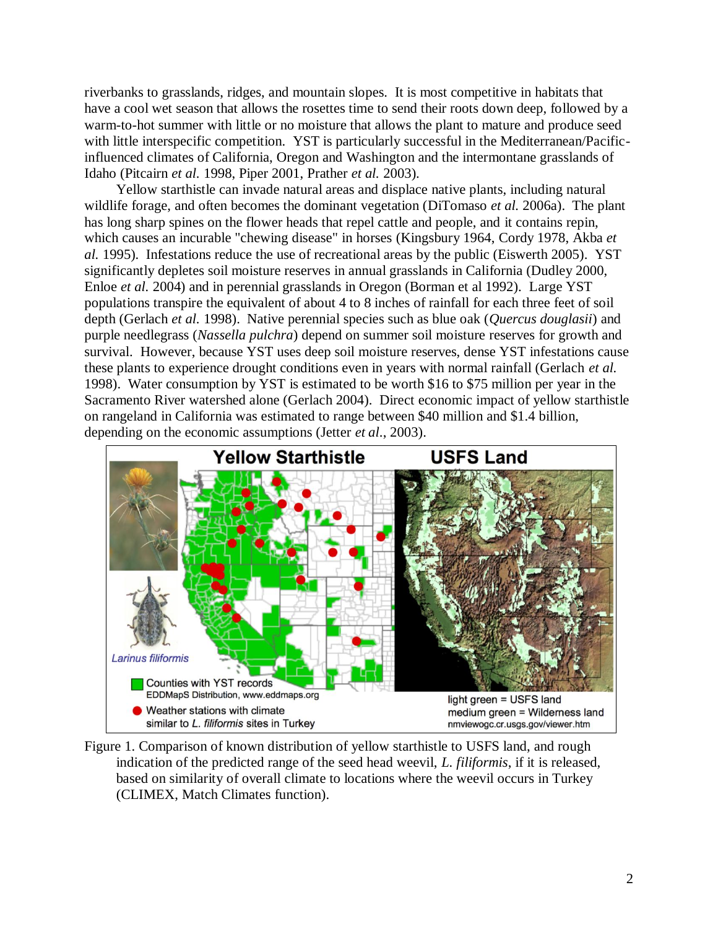riverbanks to grasslands, ridges, and mountain slopes. It is most competitive in habitats that have a cool wet season that allows the rosettes time to send their roots down deep, followed by a warm-to-hot summer with little or no moisture that allows the plant to mature and produce seed with little interspecific competition. YST is particularly successful in the Mediterranean/Pacificinfluenced climates of California, Oregon and Washington and the intermontane grasslands of Idaho (Pitcairn *et al.* 1998, Piper 2001, Prather *et al.* 2003).

Yellow starthistle can invade natural areas and displace native plants, including natural wildlife forage, and often becomes the dominant vegetation (DiTomaso *et al.* 2006a). The plant has long sharp spines on the flower heads that repel cattle and people, and it contains repin, which causes an incurable "chewing disease" in horses (Kingsbury 1964, Cordy 1978, Akba *et al.* 1995). Infestations reduce the use of recreational areas by the public (Eiswerth 2005). YST significantly depletes soil moisture reserves in annual grasslands in California (Dudley 2000, Enloe *et al.* 2004) and in perennial grasslands in Oregon (Borman et al 1992). Large YST populations transpire the equivalent of about 4 to 8 inches of rainfall for each three feet of soil depth (Gerlach *et al.* 1998). Native perennial species such as blue oak (*Quercus douglasii*) and purple needlegrass (*Nassella pulchra*) depend on summer soil moisture reserves for growth and survival. However, because YST uses deep soil moisture reserves, dense YST infestations cause these plants to experience drought conditions even in years with normal rainfall (Gerlach *et al.*  1998). Water consumption by YST is estimated to be worth \$16 to \$75 million per year in the Sacramento River watershed alone (Gerlach 2004). Direct economic impact of yellow starthistle on rangeland in California was estimated to range between \$40 million and \$1.4 billion, depending on the economic assumptions (Jetter *et al*., 2003).



Figure 1. Comparison of known distribution of yellow starthistle to USFS land, and rough indication of the predicted range of the seed head weevil, *L. filiformis*, if it is released, based on similarity of overall climate to locations where the weevil occurs in Turkey (CLIMEX, Match Climates function).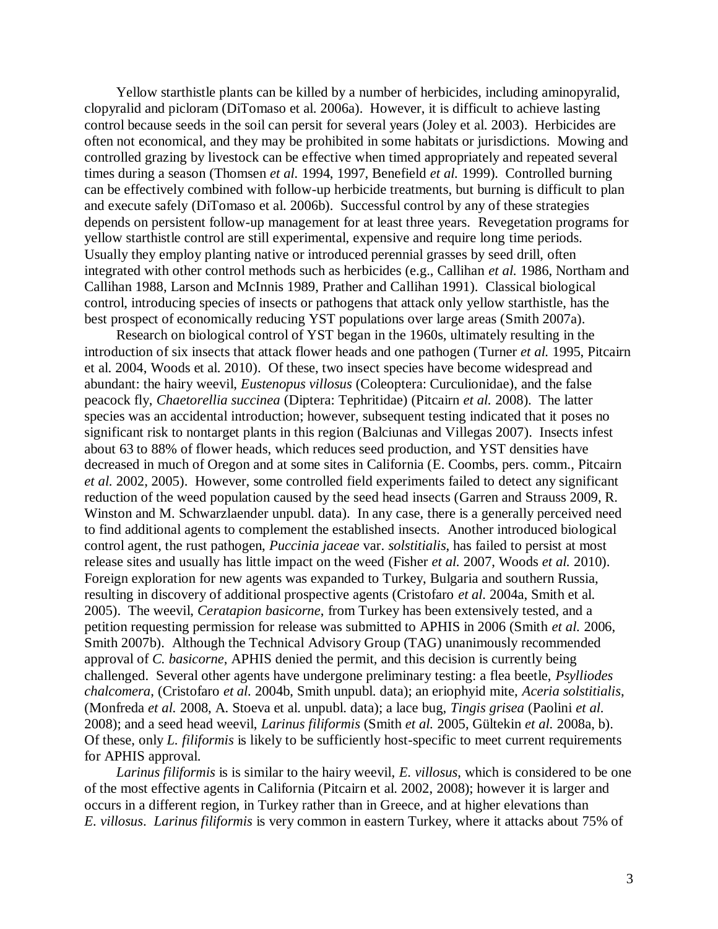Yellow starthistle plants can be killed by a number of herbicides, including aminopyralid, clopyralid and picloram (DiTomaso et al. 2006a). However, it is difficult to achieve lasting control because seeds in the soil can persit for several years (Joley et al. 2003). Herbicides are often not economical, and they may be prohibited in some habitats or jurisdictions. Mowing and controlled grazing by livestock can be effective when timed appropriately and repeated several times during a season (Thomsen *et al.* 1994, 1997, Benefield *et al.* 1999). Controlled burning can be effectively combined with follow-up herbicide treatments, but burning is difficult to plan and execute safely (DiTomaso et al. 2006b). Successful control by any of these strategies depends on persistent follow-up management for at least three years. Revegetation programs for yellow starthistle control are still experimental, expensive and require long time periods. Usually they employ planting native or introduced perennial grasses by seed drill, often integrated with other control methods such as herbicides (e.g., Callihan *et al.* 1986, Northam and Callihan 1988, Larson and McInnis 1989, Prather and Callihan 1991). Classical biological control, introducing species of insects or pathogens that attack only yellow starthistle, has the best prospect of economically reducing YST populations over large areas (Smith 2007a).

Research on biological control of YST began in the 1960s, ultimately resulting in the introduction of six insects that attack flower heads and one pathogen (Turner *et al.* 1995, Pitcairn et al. 2004, Woods et al. 2010). Of these, two insect species have become widespread and abundant: the hairy weevil, *Eustenopus villosus* (Coleoptera: Curculionidae), and the false peacock fly, *Chaetorellia succinea* (Diptera: Tephritidae) (Pitcairn *et al.* 2008). The latter species was an accidental introduction; however, subsequent testing indicated that it poses no significant risk to nontarget plants in this region (Balciunas and Villegas 2007). Insects infest about 63 to 88% of flower heads, which reduces seed production, and YST densities have decreased in much of Oregon and at some sites in California (E. Coombs, pers. comm., Pitcairn *et al.* 2002, 2005). However, some controlled field experiments failed to detect any significant reduction of the weed population caused by the seed head insects (Garren and Strauss 2009, R. Winston and M. Schwarzlaender unpubl. data). In any case, there is a generally perceived need to find additional agents to complement the established insects. Another introduced biological control agent, the rust pathogen, *Puccinia jaceae* var. *solstitialis*, has failed to persist at most release sites and usually has little impact on the weed (Fisher *et al.* 2007, Woods *et al.* 2010). Foreign exploration for new agents was expanded to Turkey, Bulgaria and southern Russia, resulting in discovery of additional prospective agents (Cristofaro *et al.* 2004a, Smith et al. 2005). The weevil, *Ceratapion basicorne*, from Turkey has been extensively tested, and a petition requesting permission for release was submitted to APHIS in 2006 (Smith *et al.* 2006, Smith 2007b). Although the Technical Advisory Group (TAG) unanimously recommended approval of *C. basicorne*, APHIS denied the permit, and this decision is currently being challenged. Several other agents have undergone preliminary testing: a flea beetle, *Psylliodes chalcomera*, (Cristofaro *et al.* 2004b, Smith unpubl. data); an eriophyid mite, *Aceria solstitialis*, (Monfreda *et al.* 2008, A. Stoeva et al. unpubl. data); a lace bug, *Tingis grisea* (Paolini *et al.* 2008); and a seed head weevil, *Larinus filiformis* (Smith *et al.* 2005, Gültekin *et al.* 2008a, b). Of these, only *L. filiformis* is likely to be sufficiently host-specific to meet current requirements for APHIS approval.

*Larinus filiformis* is is similar to the hairy weevil, *E. villosus*, which is considered to be one of the most effective agents in California (Pitcairn et al. 2002, 2008); however it is larger and occurs in a different region, in Turkey rather than in Greece, and at higher elevations than *E. villosus*. *Larinus filiformis* is very common in eastern Turkey, where it attacks about 75% of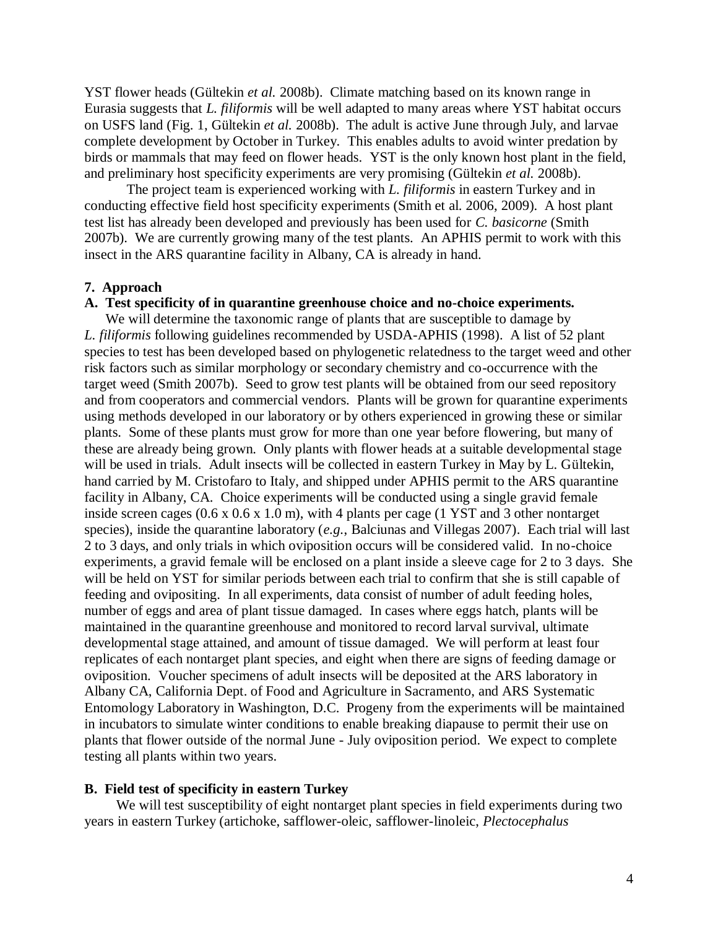YST flower heads (Gültekin *et al.* 2008b). Climate matching based on its known range in Eurasia suggests that *L. filiformis* will be well adapted to many areas where YST habitat occurs on USFS land (Fig. 1, Gültekin *et al.* 2008b). The adult is active June through July, and larvae complete development by October in Turkey. This enables adults to avoid winter predation by birds or mammals that may feed on flower heads. YST is the only known host plant in the field, and preliminary host specificity experiments are very promising (Gültekin *et al.* 2008b).

The project team is experienced working with *L. filiformis* in eastern Turkey and in conducting effective field host specificity experiments (Smith et al. 2006, 2009). A host plant test list has already been developed and previously has been used for *C. basicorne* (Smith 2007b). We are currently growing many of the test plants. An APHIS permit to work with this insect in the ARS quarantine facility in Albany, CA is already in hand.

#### **7. Approach**

#### **A. Test specificity of in quarantine greenhouse choice and no-choice experiments.**

We will determine the taxonomic range of plants that are susceptible to damage by *L. filiformis* following guidelines recommended by USDA-APHIS (1998). A list of 52 plant species to test has been developed based on phylogenetic relatedness to the target weed and other risk factors such as similar morphology or secondary chemistry and co-occurrence with the target weed (Smith 2007b). Seed to grow test plants will be obtained from our seed repository and from cooperators and commercial vendors. Plants will be grown for quarantine experiments using methods developed in our laboratory or by others experienced in growing these or similar plants. Some of these plants must grow for more than one year before flowering, but many of these are already being grown. Only plants with flower heads at a suitable developmental stage will be used in trials. Adult insects will be collected in eastern Turkey in May by L. Gültekin, hand carried by M. Cristofaro to Italy, and shipped under APHIS permit to the ARS quarantine facility in Albany, CA. Choice experiments will be conducted using a single gravid female inside screen cages (0.6 x 0.6 x 1.0 m), with 4 plants per cage (1 YST and 3 other nontarget species), inside the quarantine laboratory (*e.g.*, Balciunas and Villegas 2007). Each trial will last 2 to 3 days, and only trials in which oviposition occurs will be considered valid. In no-choice experiments, a gravid female will be enclosed on a plant inside a sleeve cage for 2 to 3 days. She will be held on YST for similar periods between each trial to confirm that she is still capable of feeding and ovipositing. In all experiments, data consist of number of adult feeding holes, number of eggs and area of plant tissue damaged. In cases where eggs hatch, plants will be maintained in the quarantine greenhouse and monitored to record larval survival, ultimate developmental stage attained, and amount of tissue damaged. We will perform at least four replicates of each nontarget plant species, and eight when there are signs of feeding damage or oviposition. Voucher specimens of adult insects will be deposited at the ARS laboratory in Albany CA, California Dept. of Food and Agriculture in Sacramento, and ARS Systematic Entomology Laboratory in Washington, D.C. Progeny from the experiments will be maintained in incubators to simulate winter conditions to enable breaking diapause to permit their use on plants that flower outside of the normal June - July oviposition period. We expect to complete testing all plants within two years.

#### **B. Field test of specificity in eastern Turkey**

We will test susceptibility of eight nontarget plant species in field experiments during two years in eastern Turkey (artichoke, safflower-oleic, safflower-linoleic, *Plectocephalus*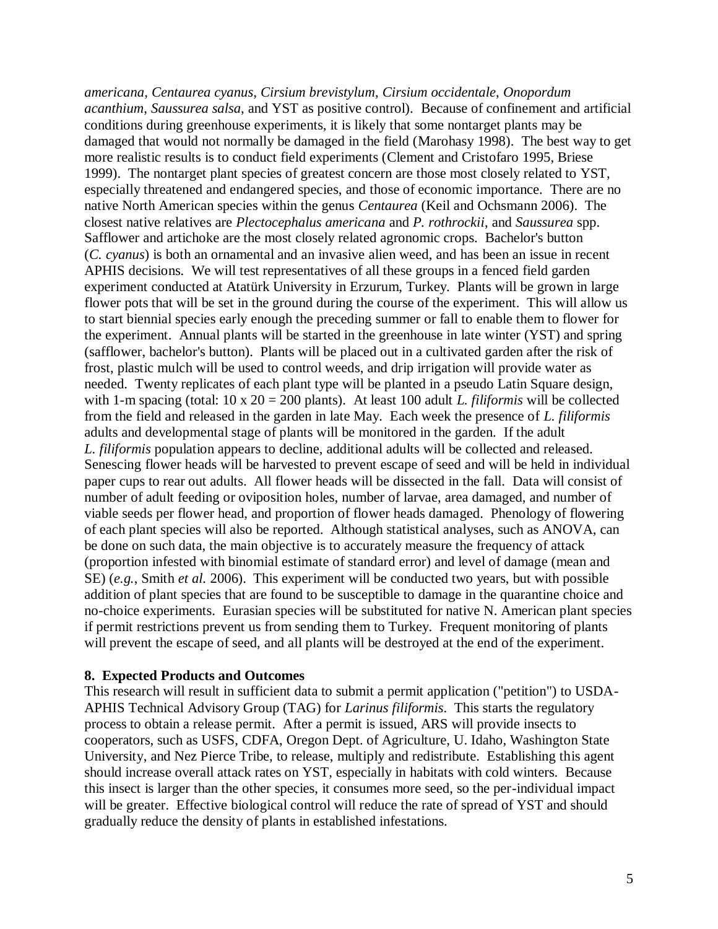*americana*, *Centaurea cyanus*, *Cirsium brevistylum*, *Cirsium occidentale*, *Onopordum acanthium*, *Saussurea salsa*, and YST as positive control). Because of confinement and artificial conditions during greenhouse experiments, it is likely that some nontarget plants may be damaged that would not normally be damaged in the field (Marohasy 1998). The best way to get more realistic results is to conduct field experiments (Clement and Cristofaro 1995, Briese 1999). The nontarget plant species of greatest concern are those most closely related to YST, especially threatened and endangered species, and those of economic importance. There are no native North American species within the genus *Centaurea* (Keil and Ochsmann 2006). The closest native relatives are *Plectocephalus americana* and *P. rothrockii*, and *Saussurea* spp. Safflower and artichoke are the most closely related agronomic crops. Bachelor's button (*C. cyanus*) is both an ornamental and an invasive alien weed, and has been an issue in recent APHIS decisions. We will test representatives of all these groups in a fenced field garden experiment conducted at Atatürk University in Erzurum, Turkey. Plants will be grown in large flower pots that will be set in the ground during the course of the experiment. This will allow us to start biennial species early enough the preceding summer or fall to enable them to flower for the experiment. Annual plants will be started in the greenhouse in late winter (YST) and spring (safflower, bachelor's button). Plants will be placed out in a cultivated garden after the risk of frost, plastic mulch will be used to control weeds, and drip irrigation will provide water as needed. Twenty replicates of each plant type will be planted in a pseudo Latin Square design, with 1-m spacing (total: 10 x 20 = 200 plants). At least 100 adult *L. filiformis* will be collected from the field and released in the garden in late May. Each week the presence of *L. filiformis* adults and developmental stage of plants will be monitored in the garden. If the adult *L. filiformis* population appears to decline, additional adults will be collected and released. Senescing flower heads will be harvested to prevent escape of seed and will be held in individual paper cups to rear out adults. All flower heads will be dissected in the fall. Data will consist of number of adult feeding or oviposition holes, number of larvae, area damaged, and number of viable seeds per flower head, and proportion of flower heads damaged. Phenology of flowering of each plant species will also be reported. Although statistical analyses, such as ANOVA, can be done on such data, the main objective is to accurately measure the frequency of attack (proportion infested with binomial estimate of standard error) and level of damage (mean and SE) (*e.g.*, Smith *et al.* 2006). This experiment will be conducted two years, but with possible addition of plant species that are found to be susceptible to damage in the quarantine choice and no-choice experiments. Eurasian species will be substituted for native N. American plant species if permit restrictions prevent us from sending them to Turkey. Frequent monitoring of plants will prevent the escape of seed, and all plants will be destroyed at the end of the experiment.

#### **8. Expected Products and Outcomes**

This research will result in sufficient data to submit a permit application ("petition") to USDA-APHIS Technical Advisory Group (TAG) for *Larinus filiformis*. This starts the regulatory process to obtain a release permit. After a permit is issued, ARS will provide insects to cooperators, such as USFS, CDFA, Oregon Dept. of Agriculture, U. Idaho, Washington State University, and Nez Pierce Tribe, to release, multiply and redistribute. Establishing this agent should increase overall attack rates on YST, especially in habitats with cold winters. Because this insect is larger than the other species, it consumes more seed, so the per-individual impact will be greater. Effective biological control will reduce the rate of spread of YST and should gradually reduce the density of plants in established infestations.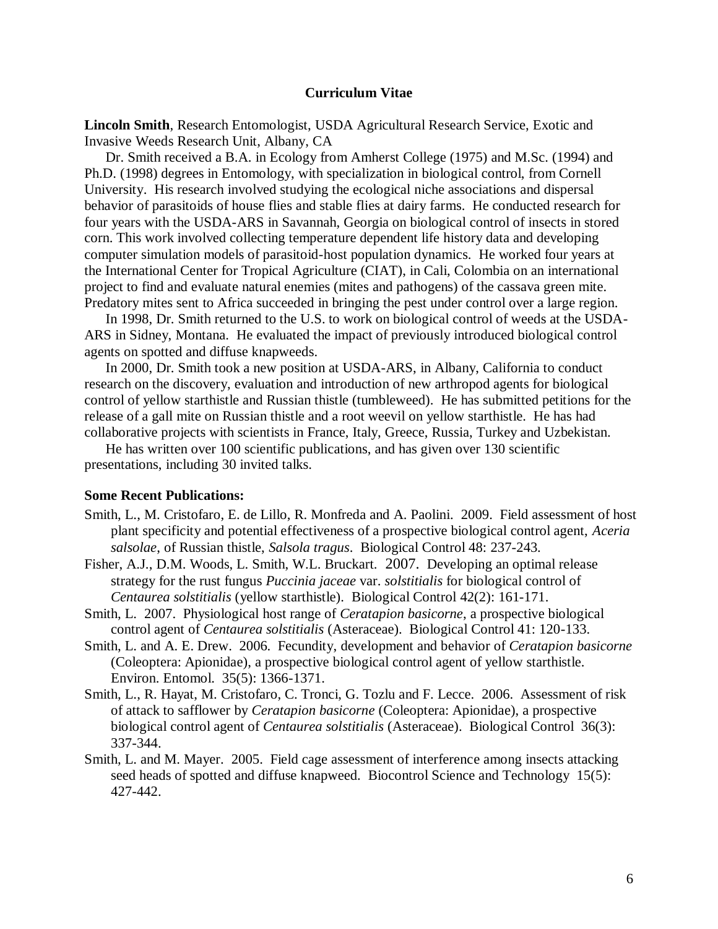#### **Curriculum Vitae**

**Lincoln Smith**, Research Entomologist, USDA Agricultural Research Service, Exotic and Invasive Weeds Research Unit, Albany, CA

Dr. Smith received a B.A. in Ecology from Amherst College (1975) and M.Sc. (1994) and Ph.D. (1998) degrees in Entomology, with specialization in biological control, from Cornell University. His research involved studying the ecological niche associations and dispersal behavior of parasitoids of house flies and stable flies at dairy farms. He conducted research for four years with the USDA-ARS in Savannah, Georgia on biological control of insects in stored corn. This work involved collecting temperature dependent life history data and developing computer simulation models of parasitoid-host population dynamics. He worked four years at the International Center for Tropical Agriculture (CIAT), in Cali, Colombia on an international project to find and evaluate natural enemies (mites and pathogens) of the cassava green mite. Predatory mites sent to Africa succeeded in bringing the pest under control over a large region.

In 1998, Dr. Smith returned to the U.S. to work on biological control of weeds at the USDA-ARS in Sidney, Montana. He evaluated the impact of previously introduced biological control agents on spotted and diffuse knapweeds.

In 2000, Dr. Smith took a new position at USDA-ARS, in Albany, California to conduct research on the discovery, evaluation and introduction of new arthropod agents for biological control of yellow starthistle and Russian thistle (tumbleweed). He has submitted petitions for the release of a gall mite on Russian thistle and a root weevil on yellow starthistle. He has had collaborative projects with scientists in France, Italy, Greece, Russia, Turkey and Uzbekistan.

He has written over 100 scientific publications, and has given over 130 scientific presentations, including 30 invited talks.

#### **Some Recent Publications:**

- Smith, L., M. Cristofaro, E. de Lillo, R. Monfreda and A. Paolini. 2009. Field assessment of host plant specificity and potential effectiveness of a prospective biological control agent, *Aceria salsolae*, of Russian thistle, *Salsola tragus*. Biological Control 48: 237-243.
- Fisher, A.J., D.M. Woods, L. Smith, W.L. Bruckart. 2007. Developing an optimal release strategy for the rust fungus *Puccinia jaceae* var. *solstitialis* for biological control of *Centaurea solstitialis* (yellow starthistle). Biological Control 42(2): 161-171.
- Smith, L. 2007. Physiological host range of *Ceratapion basicorne*, a prospective biological control agent of *Centaurea solstitialis* (Asteraceae). Biological Control 41: 120-133.
- Smith, L. and A. E. Drew. 2006. Fecundity, development and behavior of *Ceratapion basicorne* (Coleoptera: Apionidae), a prospective biological control agent of yellow starthistle. Environ. Entomol. 35(5): 1366-1371.
- Smith, L., R. Hayat, M. Cristofaro, C. Tronci, G. Tozlu and F. Lecce. 2006. Assessment of risk of attack to safflower by *Ceratapion basicorne* (Coleoptera: Apionidae), a prospective biological control agent of *Centaurea solstitialis* (Asteraceae). Biological Control 36(3): 337-344.
- Smith, L. and M. Mayer. 2005. Field cage assessment of interference among insects attacking seed heads of spotted and diffuse knapweed. Biocontrol Science and Technology 15(5): 427-442.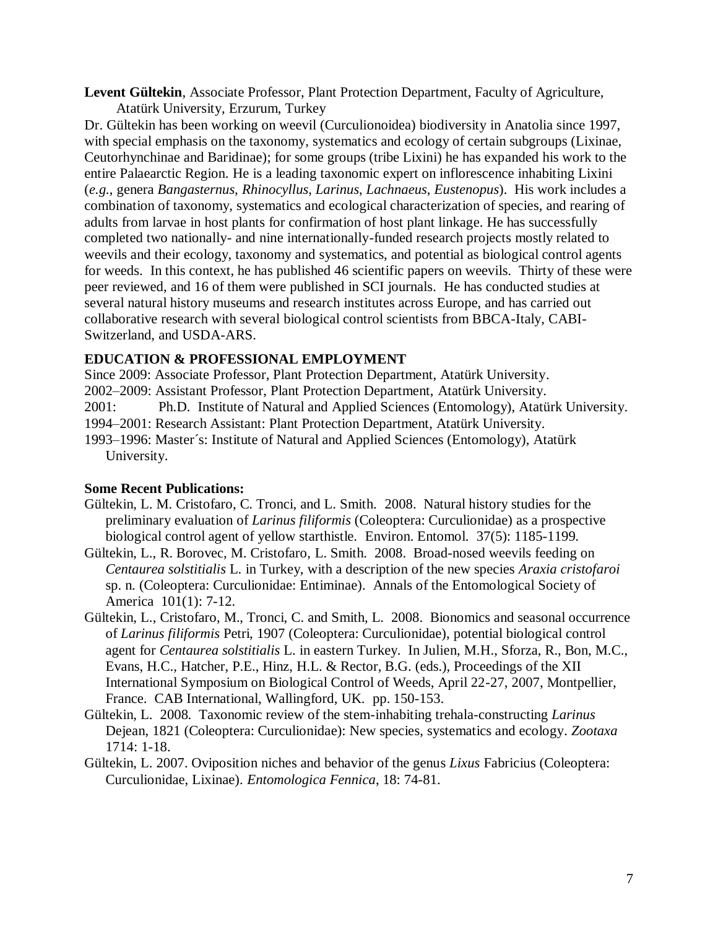**Levent Gültekin**, Associate Professor, Plant Protection Department, Faculty of Agriculture,

Atatürk University, Erzurum, Turkey Dr. Gültekin has been working on weevil (Curculionoidea) biodiversity in Anatolia since 1997, with special emphasis on the taxonomy, systematics and ecology of certain subgroups (Lixinae, Ceutorhynchinae and Baridinae); for some groups (tribe Lixini) he has expanded his work to the entire Palaearctic Region. He is a leading taxonomic expert on inflorescence inhabiting Lixini (*e.g.*, genera *Bangasternus*, *Rhinocyllus*, *Larinus*, *Lachnaeus*, *Eustenopus*). His work includes a combination of taxonomy, systematics and ecological characterization of species, and rearing of adults from larvae in host plants for confirmation of host plant linkage. He has successfully completed two nationally- and nine internationally-funded research projects mostly related to weevils and their ecology, taxonomy and systematics, and potential as biological control agents for weeds. In this context, he has published 46 scientific papers on weevils. Thirty of these were peer reviewed, and 16 of them were published in SCI journals. He has conducted studies at several natural history museums and research institutes across Europe, and has carried out collaborative research with several biological control scientists from BBCA-Italy, CABI-Switzerland, and USDA-ARS.

# **EDUCATION & PROFESSIONAL EMPLOYMENT**

Since 2009: Associate Professor, Plant Protection Department, Atatürk University. 2002–2009: Assistant Professor, Plant Protection Department, Atatürk University. 2001: Ph.D. Institute of Natural and Applied Sciences (Entomology), Atatürk University. 1994–2001: Research Assistant: Plant Protection Department, Atatürk University. 1993–1996: Master´s: Institute of Natural and Applied Sciences (Entomology), Atatürk University.

# **Some Recent Publications:**

- Gültekin, L. M. Cristofaro, C. Tronci, and L. Smith. 2008. Natural history studies for the preliminary evaluation of *Larinus filiformis* (Coleoptera: Curculionidae) as a prospective biological control agent of yellow starthistle. Environ. Entomol. 37(5): 1185-1199.
- Gültekin, L., R. Borovec, M. Cristofaro, L. Smith. 2008. Broad-nosed weevils feeding on *Centaurea solstitialis* L. in Turkey, with a description of the new species *Araxia cristofaroi* sp. n. (Coleoptera: Curculionidae: Entiminae). Annals of the Entomological Society of America 101(1): 7-12.
- Gültekin, L., Cristofaro, M., Tronci, C. and Smith, L. 2008. Bionomics and seasonal occurrence of *Larinus filiformis* Petri, 1907 (Coleoptera: Curculionidae), potential biological control agent for *Centaurea solstitialis* L. in eastern Turkey. In Julien, M.H., Sforza, R., Bon, M.C., Evans, H.C., Hatcher, P.E., Hinz, H.L. & Rector, B.G. (eds.), Proceedings of the XII International Symposium on Biological Control of Weeds, April 22-27, 2007, Montpellier, France. CAB International, Wallingford, UK. pp. 150-153.
- Gültekin, L. 2008. Taxonomic review of the stem-inhabiting trehala-constructing *Larinus* Dejean, 1821 (Coleoptera: Curculionidae): New species, systematics and ecology. *Zootaxa* 1714: 1-18.
- Gültekin, L. 2007. Oviposition niches and behavior of the genus *Lixus* Fabricius (Coleoptera: Curculionidae, Lixinae). *Entomologica Fennica*, 18: 74-81.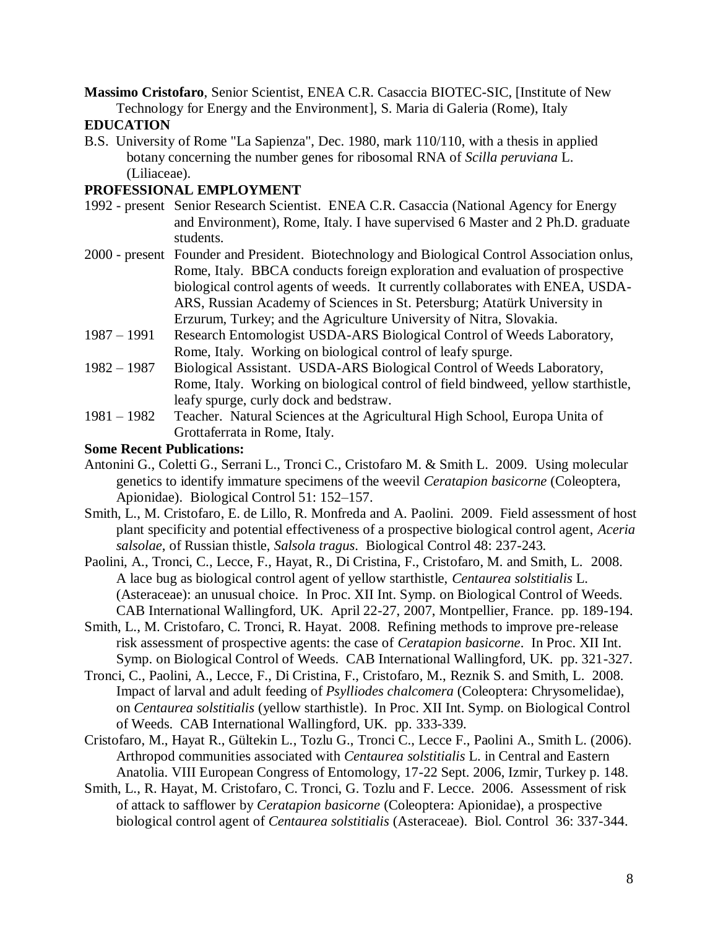**Massimo Cristofaro**, Senior Scientist, ENEA C.R. Casaccia BIOTEC-SIC, [Institute of New Technology for Energy and the Environment], S. Maria di Galeria (Rome), Italy

## **EDUCATION**

B.S. University of Rome "La Sapienza", Dec. 1980, mark 110/110, with a thesis in applied botany concerning the number genes for ribosomal RNA of *Scilla peruviana* L. (Liliaceae).

### **PROFESSIONAL EMPLOYMENT**

- 1992 present Senior Research Scientist. ENEA C.R. Casaccia (National Agency for Energy and Environment), Rome, Italy. I have supervised 6 Master and 2 Ph.D. graduate students.
- 2000 present Founder and President. Biotechnology and Biological Control Association onlus, Rome, Italy. BBCA conducts foreign exploration and evaluation of prospective biological control agents of weeds. It currently collaborates with ENEA, USDA-ARS, Russian Academy of Sciences in St. Petersburg; Atatürk University in Erzurum, Turkey; and the Agriculture University of Nitra, Slovakia.
- 1987 1991 Research Entomologist USDA-ARS Biological Control of Weeds Laboratory, Rome, Italy. Working on biological control of leafy spurge.
- 1982 1987 Biological Assistant. USDA-ARS Biological Control of Weeds Laboratory, Rome, Italy. Working on biological control of field bindweed, yellow starthistle, leafy spurge, curly dock and bedstraw.
- 1981 1982 Teacher. Natural Sciences at the Agricultural High School, Europa Unita of Grottaferrata in Rome, Italy.

### **Some Recent Publications:**

- Antonini G., Coletti G., Serrani L., Tronci C., Cristofaro M. & Smith L. 2009. Using molecular genetics to identify immature specimens of the weevil *Ceratapion basicorne* (Coleoptera, Apionidae). Biological Control 51: 152–157.
- Smith, L., M. Cristofaro, E. de Lillo, R. Monfreda and A. Paolini. 2009. Field assessment of host plant specificity and potential effectiveness of a prospective biological control agent, *Aceria salsolae*, of Russian thistle, *Salsola tragus*. Biological Control 48: 237-243.
- Paolini, A., Tronci, C., Lecce, F., Hayat, R., Di Cristina, F., Cristofaro, M. and Smith, L. 2008. A lace bug as biological control agent of yellow starthistle, *Centaurea solstitialis* L. (Asteraceae): an unusual choice. In Proc. XII Int. Symp. on Biological Control of Weeds. CAB International Wallingford, UK. April 22-27, 2007, Montpellier, France. pp. 189-194.
- Smith, L., M. Cristofaro, C. Tronci, R. Hayat. 2008. Refining methods to improve pre-release risk assessment of prospective agents: the case of *Ceratapion basicorne*. In Proc. XII Int. Symp. on Biological Control of Weeds. CAB International Wallingford, UK. pp. 321-327.
- Tronci, C., Paolini, A., Lecce, F., Di Cristina, F., Cristofaro, M., Reznik S. and Smith, L. 2008. Impact of larval and adult feeding of *Psylliodes chalcomera* (Coleoptera: Chrysomelidae), on *Centaurea solstitialis* (yellow starthistle). In Proc. XII Int. Symp. on Biological Control of Weeds. CAB International Wallingford, UK. pp. 333-339.
- Cristofaro, M., Hayat R., Gültekin L., Tozlu G., Tronci C., Lecce F., Paolini A., Smith L. (2006). Arthropod communities associated with *Centaurea solstitialis* L. in Central and Eastern Anatolia. VIII European Congress of Entomology, 17-22 Sept. 2006, Izmir, Turkey p. 148.
- Smith, L., R. Hayat, M. Cristofaro, C. Tronci, G. Tozlu and F. Lecce. 2006. Assessment of risk of attack to safflower by *Ceratapion basicorne* (Coleoptera: Apionidae), a prospective biological control agent of *Centaurea solstitialis* (Asteraceae). Biol. Control 36: 337-344.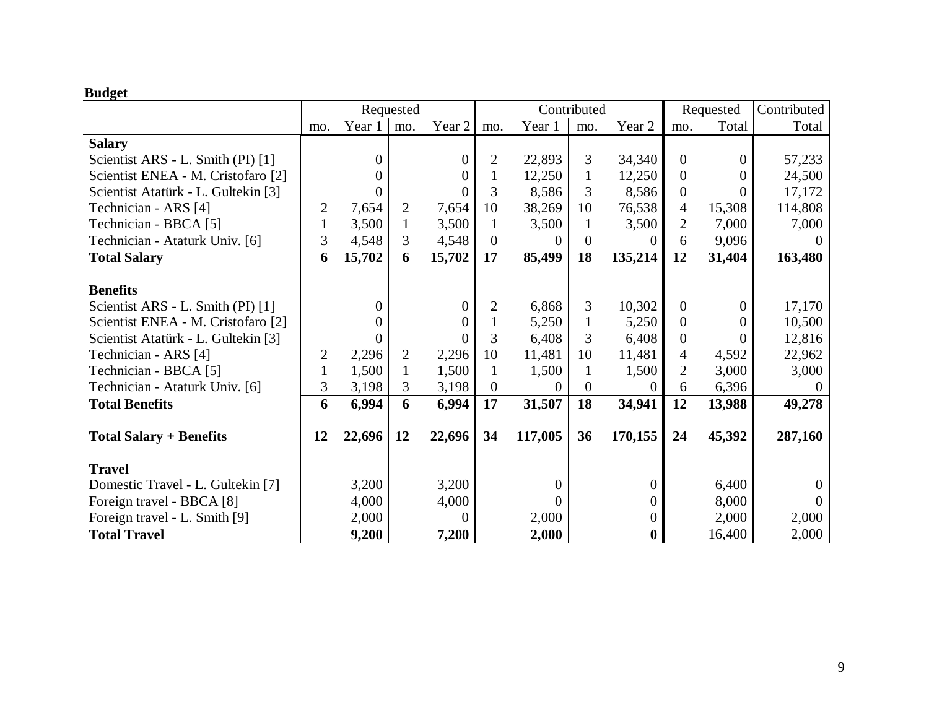# **Budget**

|                                     | Requested    |          |                |                   | Contributed    |                |                |                | Requested        |        | Contributed |
|-------------------------------------|--------------|----------|----------------|-------------------|----------------|----------------|----------------|----------------|------------------|--------|-------------|
|                                     | mo.          | Year 1   | mo.            | Year <sub>2</sub> | mo.            | Year 1         | mo.            | Year 2         | mo.              | Total  | Total       |
| <b>Salary</b>                       |              |          |                |                   |                |                |                |                |                  |        |             |
| Scientist ARS - L. Smith (PI) [1]   |              | $\Omega$ |                | $\boldsymbol{0}$  | $\overline{2}$ | 22,893         | 3              | 34,340         | $\overline{0}$   | 0      | 57,233      |
| Scientist ENEA - M. Cristofaro [2]  |              | 0        |                | $\Omega$          |                | 12,250         | $\mathbf{1}$   | 12,250         | $\overline{0}$   | 0      | 24,500      |
| Scientist Atatürk - L. Gultekin [3] |              | 0        |                |                   | 3              | 8,586          | 3              | 8,586          | $\boldsymbol{0}$ | 0      | 17,172      |
| Technician - ARS [4]                | 2            | 7,654    | $\overline{2}$ | 7,654             | 10             | 38,269         | 10             | 76,538         | 4                | 15,308 | 114,808     |
| Technician - BBCA [5]               | $\mathbf{1}$ | 3,500    | $\mathbf{1}$   | 3,500             | 1              | 3,500          | 1              | 3,500          | 2                | 7,000  | 7,000       |
| Technician - Ataturk Univ. [6]      | 3            | 4,548    | 3              | 4,548             | $\overline{0}$ | 0              | $\theta$       | 0              | 6                | 9,096  |             |
| <b>Total Salary</b>                 | 6            | 15,702   | 6              | 15,702            | 17             | 85,499         | 18             | 135,214        | 12               | 31,404 | 163,480     |
|                                     |              |          |                |                   |                |                |                |                |                  |        |             |
| <b>Benefits</b>                     |              |          |                |                   |                |                |                |                |                  |        |             |
| Scientist ARS - L. Smith (PI) [1]   |              | $\theta$ |                | $\boldsymbol{0}$  | $\overline{2}$ | 6,868          | 3              | 10,302         | $\boldsymbol{0}$ | 0      | 17,170      |
| Scientist ENEA - M. Cristofaro [2]  |              |          |                |                   |                | 5,250          |                | 5,250          | $\overline{0}$   | 0      | 10,500      |
| Scientist Atatürk - L. Gultekin [3] |              | 0        |                | $\Omega$          | 3              | 6,408          | 3              | 6,408          | $\boldsymbol{0}$ | 0      | 12,816      |
| Technician - ARS [4]                | 2            | 2,296    | $\overline{2}$ | 2,296             | 10             | 11,481         | 10             | 11,481         | 4                | 4,592  | 22,962      |
| Technician - BBCA [5]               | $\mathbf{1}$ | 1,500    | $\mathbf{1}$   | 1,500             | 1              | 1,500          | 1              | 1,500          | $\overline{2}$   | 3,000  | 3,000       |
| Technician - Ataturk Univ. [6]      | 3            | 3,198    | 3              | 3,198             | $\overline{0}$ | $\theta$       | $\overline{0}$ | 0              | 6                | 6,396  |             |
| <b>Total Benefits</b>               | 6            | 6,994    | 6              | 6,994             | 17             | 31,507         | 18             | 34,941         | 12               | 13,988 | 49,278      |
|                                     |              |          |                |                   |                |                |                |                |                  |        |             |
| <b>Total Salary + Benefits</b>      | 12           | 22,696   | 12             | 22,696            | 34             | 117,005        | 36             | 170,155        | 24               | 45,392 | 287,160     |
| <b>Travel</b>                       |              |          |                |                   |                |                |                |                |                  |        |             |
| Domestic Travel - L. Gultekin [7]   |              | 3,200    |                | 3,200             |                | $\overline{0}$ |                | $\overline{0}$ |                  | 6,400  |             |
| Foreign travel - BBCA [8]           |              | 4,000    |                | 4,000             |                | 0              |                | 0              |                  | 8,000  |             |
| Foreign travel - L. Smith [9]       |              | 2,000    |                | $\Omega$          |                | 2,000          |                | 0              |                  | 2,000  | 2,000       |
| <b>Total Travel</b>                 |              | 9,200    |                | 7,200             |                | 2,000          |                | $\bf{0}$       |                  | 16,400 | 2,000       |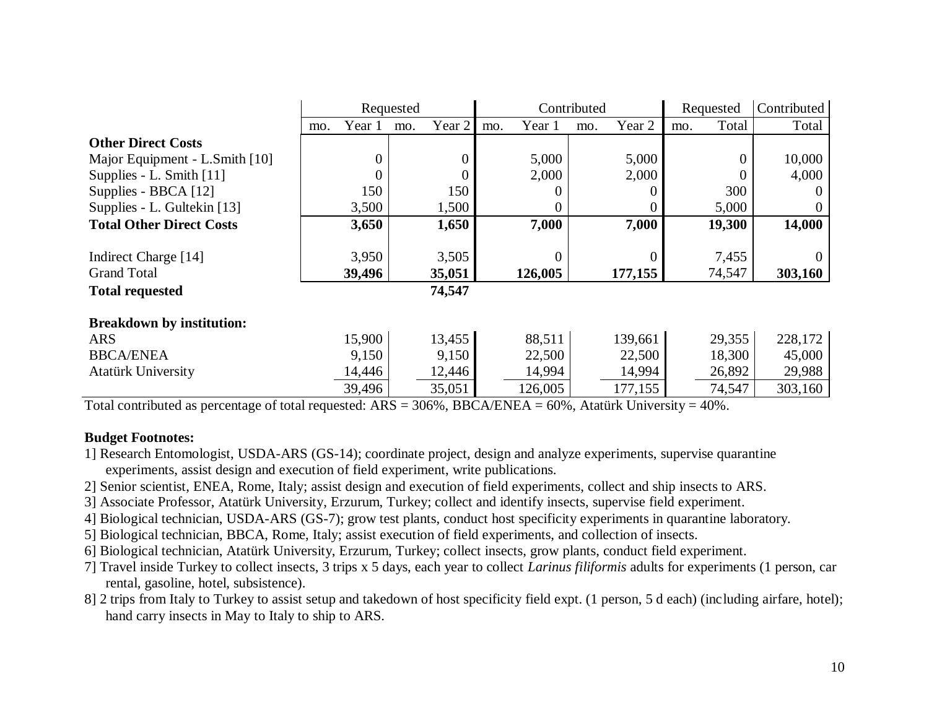|                                  | Requested |          |     |        | Contributed |         |     |         | Requested |        | Contributed |
|----------------------------------|-----------|----------|-----|--------|-------------|---------|-----|---------|-----------|--------|-------------|
|                                  | mo.       | Year 1   | mo. | Year 2 | mo.         | Year 1  | mo. | Year 2  | mo.       | Total  | Total       |
| <b>Other Direct Costs</b>        |           |          |     |        |             |         |     |         |           |        |             |
| Major Equipment - L.Smith [10]   |           | $\Omega$ |     | 0      |             | 5,000   |     | 5,000   |           | 0      | 10,000      |
| Supplies - L. Smith [11]         |           |          |     | 0      |             | 2,000   |     | 2,000   |           |        | 4,000       |
| Supplies - BBCA [12]             |           | 150      |     | 150    |             |         |     |         |           | 300    |             |
| Supplies - L. Gultekin [13]      |           | 3,500    |     | 1,500  |             |         |     |         |           | 5,000  |             |
| <b>Total Other Direct Costs</b>  |           | 3,650    |     | 1,650  |             | 7,000   |     | 7,000   |           | 19,300 | 14,000      |
|                                  |           |          |     |        |             |         |     |         |           |        |             |
| Indirect Charge [14]             |           | 3,950    |     | 3,505  |             |         |     |         |           | 7,455  |             |
| <b>Grand Total</b>               |           | 39,496   |     | 35,051 |             | 126,005 |     | 177,155 |           | 74,547 | 303,160     |
| <b>Total requested</b>           |           |          |     | 74,547 |             |         |     |         |           |        |             |
| <b>Breakdown by institution:</b> |           |          |     |        |             |         |     |         |           |        |             |
| <b>ARS</b>                       |           | 15,900   |     | 13,455 |             | 88,511  |     | 139,661 |           | 29,355 | 228,172     |
| <b>BBCA/ENEA</b>                 |           | 9,150    |     | 9,150  |             | 22,500  |     | 22,500  |           | 18,300 | 45,000      |
| <b>Atatürk University</b>        |           | 14,446   |     | 12,446 |             | 14,994  |     | 14,994  |           | 26,892 | 29,988      |
|                                  |           | 39,496   |     | 35,051 |             | 126,005 |     | 177,155 |           | 74,547 | 303,160     |

Total contributed as percentage of total requested:  $ARS = 306\%$ , BBCA/ENEA = 60%, Atatürk University = 40%.

## **Budget Footnotes:**

1] Research Entomologist, USDA-ARS (GS-14); coordinate project, design and analyze experiments, supervise quarantine experiments, assist design and execution of field experiment, write publications.

2] Senior scientist, ENEA, Rome, Italy; assist design and execution of field experiments, collect and ship insects to ARS.

3] Associate Professor, Atatürk University, Erzurum, Turkey; collect and identify insects, supervise field experiment.

4] Biological technician, USDA-ARS (GS-7); grow test plants, conduct host specificity experiments in quarantine laboratory.

- 5] Biological technician, BBCA, Rome, Italy; assist execution of field experiments, and collection of insects.
- 6] Biological technician, Atatürk University, Erzurum, Turkey; collect insects, grow plants, conduct field experiment.
- 7] Travel inside Turkey to collect insects, 3 trips x 5 days, each year to collect *Larinus filiformis* adults for experiments (1 person, car rental, gasoline, hotel, subsistence).
- 8] 2 trips from Italy to Turkey to assist setup and takedown of host specificity field expt. (1 person, 5 d each) (including airfare, hotel); hand carry insects in May to Italy to ship to ARS.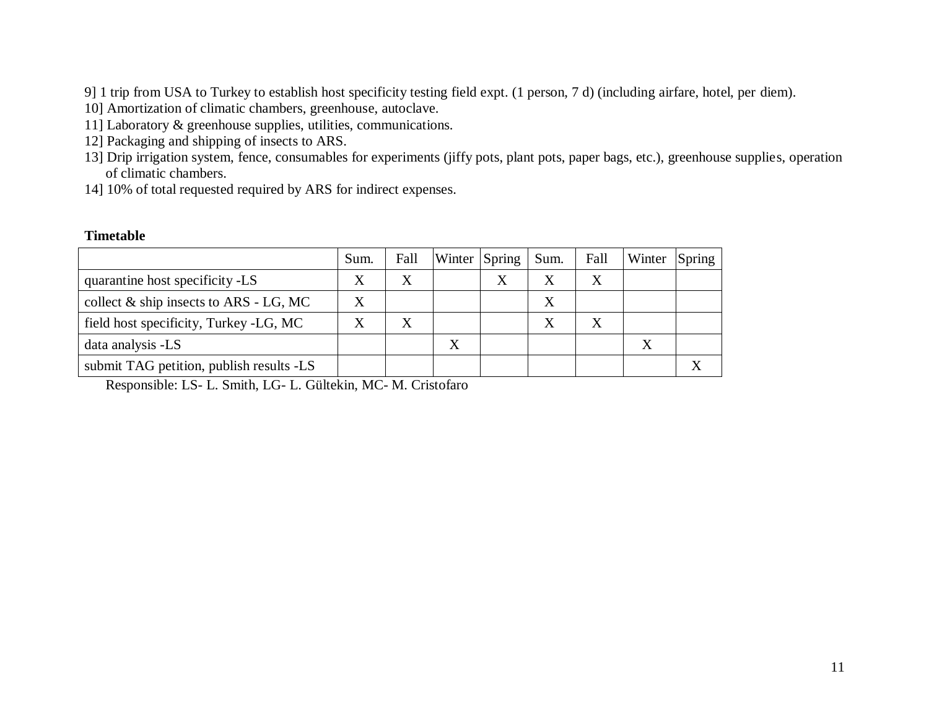9] 1 trip from USA to Turkey to establish host specificity testing field expt. (1 person, 7 d) (including airfare, hotel, per diem).

10] Amortization of climatic chambers, greenhouse, autoclave.

- 11] Laboratory & greenhouse supplies, utilities, communications.
- 12] Packaging and shipping of insects to ARS.
- 13] Drip irrigation system, fence, consumables for experiments (jiffy pots, plant pots, paper bags, etc.), greenhouse supplies, operation of climatic chambers.
- 14] 10% of total requested required by ARS for indirect expenses.

### **Timetable**

|                                           | Sum. | Fall |   | Winter Spring | Sum. | Fall | Winter | Spring |
|-------------------------------------------|------|------|---|---------------|------|------|--------|--------|
| quarantine host specificity -LS           | Χ    |      |   |               |      | X    |        |        |
| collect $\&$ ship insects to ARS - LG, MC |      |      |   |               |      |      |        |        |
| field host specificity, Turkey -LG, MC    |      |      |   |               |      |      |        |        |
| data analysis -LS                         |      |      | X |               |      |      |        |        |
| submit TAG petition, publish results -LS  |      |      |   |               |      |      |        |        |

Responsible: LS- L. Smith, LG- L. Gültekin, MC- M. Cristofaro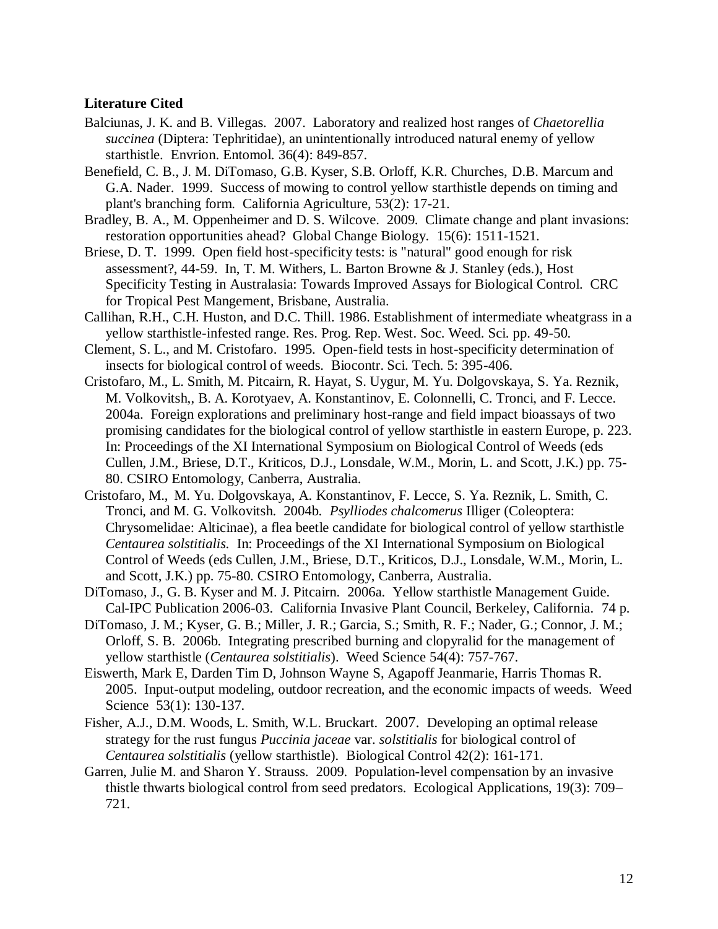#### **Literature Cited**

- Balciunas, J. K. and B. Villegas. 2007. Laboratory and realized host ranges of *Chaetorellia succinea* (Diptera: Tephritidae), an unintentionally introduced natural enemy of yellow starthistle. Envrion. Entomol. 36(4): 849-857.
- Benefield, C. B., J. M. DiTomaso, G.B. Kyser, S.B. Orloff, K.R. Churches, D.B. Marcum and G.A. Nader. 1999. Success of mowing to control yellow starthistle depends on timing and plant's branching form. California Agriculture, 53(2): 17-21.
- Bradley, B. A., M. Oppenheimer and D. S. Wilcove. 2009. Climate change and plant invasions: restoration opportunities ahead? Global Change Biology. 15(6): 1511-1521.
- Briese, D. T. 1999. Open field host-specificity tests: is "natural" good enough for risk assessment?, 44-59. In, T. M. Withers, L. Barton Browne & J. Stanley (eds.), Host Specificity Testing in Australasia: Towards Improved Assays for Biological Control. CRC for Tropical Pest Mangement, Brisbane, Australia.
- Callihan, R.H., C.H. Huston, and D.C. Thill. 1986. Establishment of intermediate wheatgrass in a yellow starthistle-infested range. Res. Prog. Rep. West. Soc. Weed. Sci. pp. 49-50.
- Clement, S. L., and M. Cristofaro. 1995. Open-field tests in host-specificity determination of insects for biological control of weeds. Biocontr. Sci. Tech. 5: 395-406.
- Cristofaro, M., L. Smith, M. Pitcairn, R. Hayat, S. Uygur, M. Yu. Dolgovskaya, S. Ya. Reznik, M. Volkovitsh,, B. A. Korotyaev, A. Konstantinov, E. Colonnelli, C. Tronci, and F. Lecce. 2004a. Foreign explorations and preliminary host-range and field impact bioassays of two promising candidates for the biological control of yellow starthistle in eastern Europe, p. 223. In: Proceedings of the XI International Symposium on Biological Control of Weeds (eds Cullen, J.M., Briese, D.T., Kriticos, D.J., Lonsdale, W.M., Morin, L. and Scott, J.K.) pp. 75- 80. CSIRO Entomology, Canberra, Australia.
- Cristofaro, M., M. Yu. Dolgovskaya, A. Konstantinov, F. Lecce, S. Ya. Reznik, L. Smith, C. Tronci, and M. G. Volkovitsh. 2004b. *Psylliodes chalcomerus* Illiger (Coleoptera: Chrysomelidae: Alticinae), a flea beetle candidate for biological control of yellow starthistle *Centaurea solstitialis.* In: Proceedings of the XI International Symposium on Biological Control of Weeds (eds Cullen, J.M., Briese, D.T., Kriticos, D.J., Lonsdale, W.M., Morin, L. and Scott, J.K.) pp. 75-80. CSIRO Entomology, Canberra, Australia.
- DiTomaso, J., G. B. Kyser and M. J. Pitcairn. 2006a. Yellow starthistle Management Guide. Cal-IPC Publication 2006-03. California Invasive Plant Council, Berkeley, California. 74 p.
- DiTomaso, J. M.; Kyser, G. B.; Miller, J. R.; Garcia, S.; Smith, R. F.; Nader, G.; Connor, J. M.; Orloff, S. B. 2006b. Integrating prescribed burning and clopyralid for the management of yellow starthistle (*Centaurea solstitialis*). Weed Science 54(4): 757-767.
- Eiswerth, Mark E, Darden Tim D, Johnson Wayne S, Agapoff Jeanmarie, Harris Thomas R. 2005. Input-output modeling, outdoor recreation, and the economic impacts of weeds. Weed Science 53(1): 130-137.
- Fisher, A.J., D.M. Woods, L. Smith, W.L. Bruckart. 2007. Developing an optimal release strategy for the rust fungus *Puccinia jaceae* var. *solstitialis* for biological control of *Centaurea solstitialis* (yellow starthistle). Biological Control 42(2): 161-171.
- Garren, Julie M. and Sharon Y. Strauss. 2009. Population-level compensation by an invasive thistle thwarts biological control from seed predators. Ecological Applications, 19(3): 709– 721.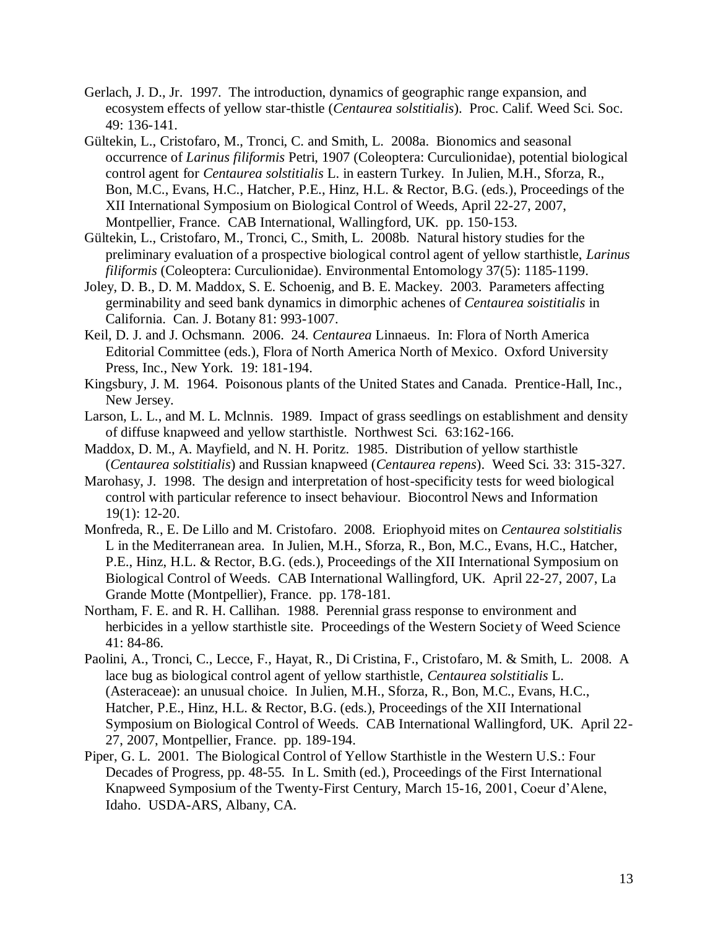- Gerlach, J. D., Jr. 1997. The introduction, dynamics of geographic range expansion, and ecosystem effects of yellow star-thistle (*Centaurea solstitialis*). Proc. Calif. Weed Sci. Soc. 49: 136-141.
- Gültekin, L., Cristofaro, M., Tronci, C. and Smith, L. 2008a. Bionomics and seasonal occurrence of *Larinus filiformis* Petri, 1907 (Coleoptera: Curculionidae), potential biological control agent for *Centaurea solstitialis* L. in eastern Turkey. In Julien, M.H., Sforza, R., Bon, M.C., Evans, H.C., Hatcher, P.E., Hinz, H.L. & Rector, B.G. (eds.), Proceedings of the XII International Symposium on Biological Control of Weeds, April 22-27, 2007, Montpellier, France. CAB International, Wallingford, UK. pp. 150-153.
- Gültekin, L., Cristofaro, M., Tronci, C., Smith, L. 2008b. Natural history studies for the preliminary evaluation of a prospective biological control agent of yellow starthistle, *Larinus filiformis* (Coleoptera: Curculionidae). Environmental Entomology 37(5): 1185-1199.
- Joley, D. B., D. M. Maddox, S. E. Schoenig, and B. E. Mackey. 2003. Parameters affecting germinability and seed bank dynamics in dimorphic achenes of *Centaurea soistitialis* in California. Can. J. Botany 81: 993-1007.
- Keil, D. J. and J. Ochsmann. 2006. 24. *Centaurea* Linnaeus. In: Flora of North America Editorial Committee (eds.), Flora of North America North of Mexico. Oxford University Press, Inc., New York. 19: 181-194.
- Kingsbury, J. M. 1964. Poisonous plants of the United States and Canada. Prentice-Hall, Inc., New Jersey.
- Larson, L. L., and M. L. Mclnnis. 1989. Impact of grass seedlings on establishment and density of diffuse knapweed and yellow starthistle. Northwest Sci. 63:162-166.
- Maddox, D. M., A. Mayfield, and N. H. Poritz. 1985. Distribution of yellow starthistle (*Centaurea solstitialis*) and Russian knapweed (*Centaurea repens*). Weed Sci. 33: 315-327.
- Marohasy, J. 1998. The design and interpretation of host-specificity tests for weed biological control with particular reference to insect behaviour. Biocontrol News and Information 19(1): 12-20.
- Monfreda, R., E. De Lillo and M. Cristofaro. 2008. Eriophyoid mites on *Centaurea solstitialis* L in the Mediterranean area. In Julien, M.H., Sforza, R., Bon, M.C., Evans, H.C., Hatcher, P.E., Hinz, H.L. & Rector, B.G. (eds.), Proceedings of the XII International Symposium on Biological Control of Weeds. CAB International Wallingford, UK. April 22-27, 2007, La Grande Motte (Montpellier), France. pp. 178-181.
- Northam, F. E. and R. H. Callihan. 1988. Perennial grass response to environment and herbicides in a yellow starthistle site. Proceedings of the Western Society of Weed Science 41: 84-86.
- Paolini, A., Tronci, C., Lecce, F., Hayat, R., Di Cristina, F., Cristofaro, M. & Smith, L. 2008. A lace bug as biological control agent of yellow starthistle, *Centaurea solstitialis* L. (Asteraceae): an unusual choice. In Julien, M.H., Sforza, R., Bon, M.C., Evans, H.C., Hatcher, P.E., Hinz, H.L. & Rector, B.G. (eds.), Proceedings of the XII International Symposium on Biological Control of Weeds. CAB International Wallingford, UK. April 22- 27, 2007, Montpellier, France. pp. 189-194.
- Piper, G. L. 2001. The Biological Control of Yellow Starthistle in the Western U.S.: Four Decades of Progress, pp. 48-55. In L. Smith (ed.), Proceedings of the First International Knapweed Symposium of the Twenty-First Century, March 15-16, 2001, Coeur d'Alene, Idaho. USDA-ARS, Albany, CA.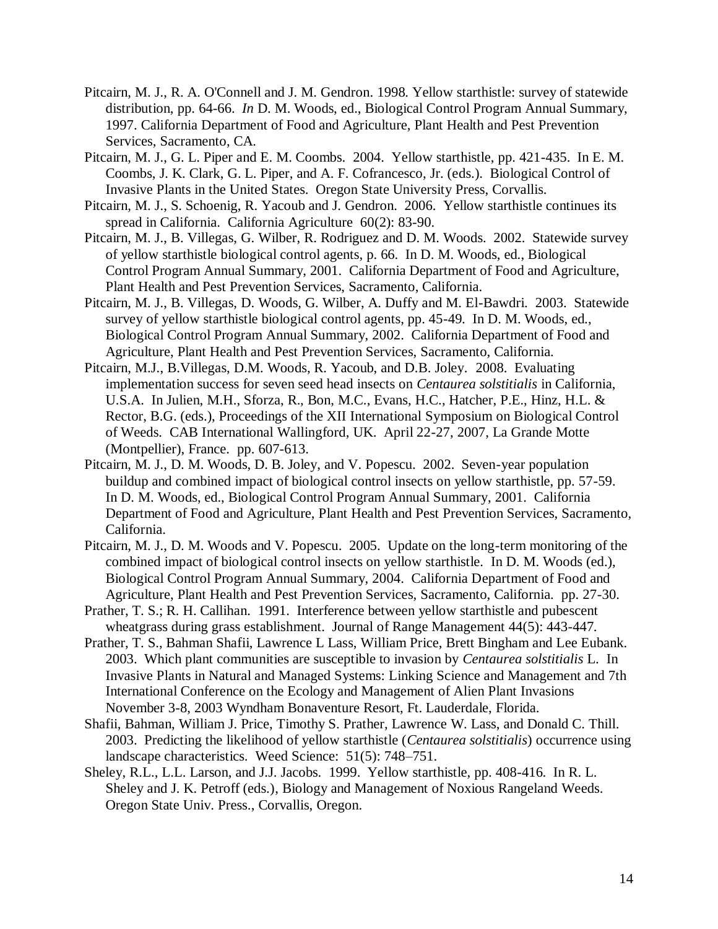- Pitcairn, M. J., R. A. O'Connell and J. M. Gendron. 1998. Yellow starthistle: survey of statewide distribution, pp. 64-66. *In* D. M. Woods, ed., Biological Control Program Annual Summary, 1997. California Department of Food and Agriculture, Plant Health and Pest Prevention Services, Sacramento, CA.
- Pitcairn, M. J., G. L. Piper and E. M. Coombs. 2004. Yellow starthistle, pp. 421-435. In E. M. Coombs, J. K. Clark, G. L. Piper, and A. F. Cofrancesco, Jr. (eds.). Biological Control of Invasive Plants in the United States. Oregon State University Press, Corvallis.
- Pitcairn, M. J., S. Schoenig, R. Yacoub and J. Gendron. 2006. Yellow starthistle continues its spread in California. California Agriculture 60(2): 83-90.
- Pitcairn, M. J., B. Villegas, G. Wilber, R. Rodriguez and D. M. Woods. 2002. Statewide survey of yellow starthistle biological control agents, p. 66. In D. M. Woods, ed., Biological Control Program Annual Summary, 2001. California Department of Food and Agriculture, Plant Health and Pest Prevention Services, Sacramento, California.
- Pitcairn, M. J., B. Villegas, D. Woods, G. Wilber, A. Duffy and M. El-Bawdri. 2003. Statewide survey of yellow starthistle biological control agents, pp. 45-49. In D. M. Woods, ed., Biological Control Program Annual Summary, 2002. California Department of Food and Agriculture, Plant Health and Pest Prevention Services, Sacramento, California.
- Pitcairn, M.J., B.Villegas, D.M. Woods, R. Yacoub, and D.B. Joley. 2008. Evaluating implementation success for seven seed head insects on *Centaurea solstitialis* in California, U.S.A. In Julien, M.H., Sforza, R., Bon, M.C., Evans, H.C., Hatcher, P.E., Hinz, H.L. & Rector, B.G. (eds.), Proceedings of the XII International Symposium on Biological Control of Weeds. CAB International Wallingford, UK. April 22-27, 2007, La Grande Motte (Montpellier), France. pp. 607-613.
- Pitcairn, M. J., D. M. Woods, D. B. Joley, and V. Popescu. 2002. Seven-year population buildup and combined impact of biological control insects on yellow starthistle, pp. 57-59. In D. M. Woods, ed., Biological Control Program Annual Summary, 2001. California Department of Food and Agriculture, Plant Health and Pest Prevention Services, Sacramento, California.
- Pitcairn, M. J., D. M. Woods and V. Popescu. 2005. Update on the long-term monitoring of the combined impact of biological control insects on yellow starthistle. In D. M. Woods (ed.), Biological Control Program Annual Summary, 2004. California Department of Food and Agriculture, Plant Health and Pest Prevention Services, Sacramento, California. pp. 27-30.
- Prather, T. S.; R. H. Callihan. 1991. Interference between yellow starthistle and pubescent wheatgrass during grass establishment. Journal of Range Management 44(5): 443-447.
- Prather, T. S., Bahman Shafii, Lawrence L Lass, William Price, Brett Bingham and Lee Eubank. 2003. Which plant communities are susceptible to invasion by *Centaurea solstitialis* L. In Invasive Plants in Natural and Managed Systems: Linking Science and Management and 7th International Conference on the Ecology and Management of Alien Plant Invasions November 3-8, 2003 Wyndham Bonaventure Resort, Ft. Lauderdale, Florida.
- Shafii, Bahman, William J. Price, Timothy S. Prather, Lawrence W. Lass, and Donald C. Thill. 2003. Predicting the likelihood of yellow starthistle (*Centaurea solstitialis*) occurrence using landscape characteristics. Weed Science: 51(5): 748–751.
- Sheley, R.L., L.L. Larson, and J.J. Jacobs. 1999. Yellow starthistle, pp. 408-416. In R. L. Sheley and J. K. Petroff (eds.), Biology and Management of Noxious Rangeland Weeds. Oregon State Univ. Press., Corvallis, Oregon.